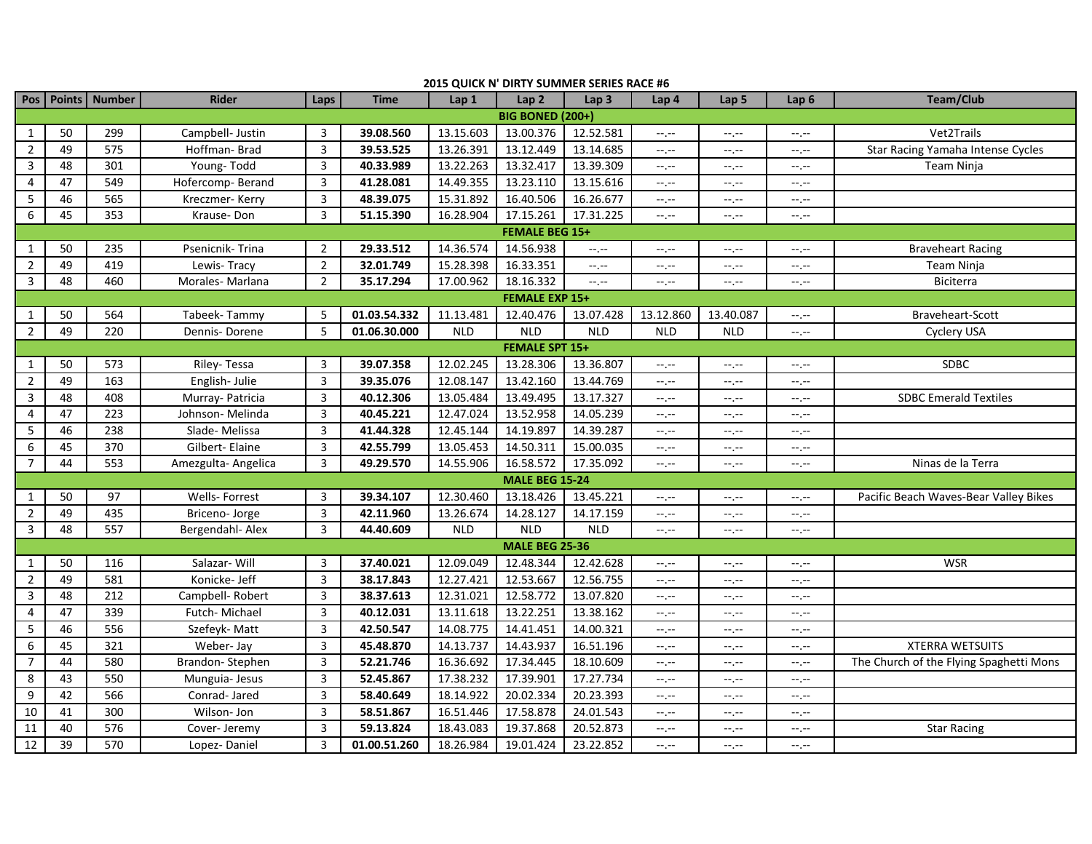|                         |    | Pos   Points   Number | <b>Rider</b>        | Laps           | <b>Time</b>  | Lap 1      | Lap2                  | Lap <sub>3</sub> | Lap <sub>4</sub>                                                                                                                                                                                                                                                                                                                                                                                                                               | Lap <sub>5</sub> | Lap <sub>6</sub> | <b>Team/Club</b>                        |
|-------------------------|----|-----------------------|---------------------|----------------|--------------|------------|-----------------------|------------------|------------------------------------------------------------------------------------------------------------------------------------------------------------------------------------------------------------------------------------------------------------------------------------------------------------------------------------------------------------------------------------------------------------------------------------------------|------------------|------------------|-----------------------------------------|
| <b>BIG BONED (200+)</b> |    |                       |                     |                |              |            |                       |                  |                                                                                                                                                                                                                                                                                                                                                                                                                                                |                  |                  |                                         |
| 1                       | 50 | 299                   | Campbell- Justin    | 3              | 39.08.560    | 13.15.603  | 13.00.376             | 12.52.581        | --.--                                                                                                                                                                                                                                                                                                                                                                                                                                          | $-1, -1$         | --.--            | Vet2Trails                              |
| $\overline{2}$          | 49 | 575                   | Hoffman-Brad        | 3              | 39.53.525    | 13.26.391  | 13.12.449             | 13.14.685        | $-1, -1$                                                                                                                                                                                                                                                                                                                                                                                                                                       | $-1, -1$         | --,--            | Star Racing Yamaha Intense Cycles       |
| 3                       | 48 | 301                   | Young-Todd          | 3              | 40.33.989    | 13.22.263  | 13.32.417             | 13.39.309        | $-1, -1$                                                                                                                                                                                                                                                                                                                                                                                                                                       | $-1, -1$         | $-1$ , $-1$      | Team Ninja                              |
| 4                       | 47 | 549                   | Hofercomp-Berand    | 3              | 41.28.081    | 14.49.355  | 13.23.110             | 13.15.616        | $-1, -1$                                                                                                                                                                                                                                                                                                                                                                                                                                       | --.--            | --.--            |                                         |
| 5                       | 46 | 565                   | Kreczmer-Kerry      | 3              | 48.39.075    | 15.31.892  | 16.40.506             | 16.26.677        | $-1, -1$                                                                                                                                                                                                                                                                                                                                                                                                                                       | $-1, -1$         | $-1 - 1 - 1 = 0$ |                                         |
| 6                       | 45 | 353                   | Krause-Don          | 3              | 51.15.390    | 16.28.904  | 17.15.261             | 17.31.225        | $-1, -1$                                                                                                                                                                                                                                                                                                                                                                                                                                       | $-1, -1$         | --.--            |                                         |
| <b>FEMALE BEG 15+</b>   |    |                       |                     |                |              |            |                       |                  |                                                                                                                                                                                                                                                                                                                                                                                                                                                |                  |                  |                                         |
| $\mathbf{1}$            | 50 | 235                   | Psenicnik-Trina     | $\overline{2}$ | 29.33.512    | 14.36.574  | 14.56.938             | $-1$ , $-1$      | $-1, -1$                                                                                                                                                                                                                                                                                                                                                                                                                                       | $-1, -1$         | $-1$ , $-1$      | <b>Braveheart Racing</b>                |
| $\overline{2}$          | 49 | 419                   | Lewis-Tracy         | $\overline{2}$ | 32.01.749    | 15.28.398  | 16.33.351             | $--, --$         | --.--                                                                                                                                                                                                                                                                                                                                                                                                                                          | --.--            | --.--            | Team Ninja                              |
| 3                       | 48 | 460                   | Morales-Marlana     | $\overline{2}$ | 35.17.294    | 17.00.962  | 18.16.332             | $-1$ , $-1$      | $\frac{1}{2} \left( \frac{1}{2} \right) + \frac{1}{2} \left( \frac{1}{2} \right) + \frac{1}{2} \left( \frac{1}{2} \right) + \frac{1}{2} \left( \frac{1}{2} \right) + \frac{1}{2} \left( \frac{1}{2} \right) + \frac{1}{2} \left( \frac{1}{2} \right) + \frac{1}{2} \left( \frac{1}{2} \right) + \frac{1}{2} \left( \frac{1}{2} \right) + \frac{1}{2} \left( \frac{1}{2} \right) + \frac{1}{2} \left( \frac{1}{2} \right) + \frac{1}{2} \left($ | $-1, -1$         | $-1, -1$         | Biciterra                               |
|                         |    |                       |                     |                |              |            | <b>FEMALE EXP 15+</b> |                  |                                                                                                                                                                                                                                                                                                                                                                                                                                                |                  |                  |                                         |
| 1                       | 50 | 564                   | Tabeek-Tammy        | 5              | 01.03.54.332 | 11.13.481  | 12.40.476             | 13.07.428        | 13.12.860                                                                                                                                                                                                                                                                                                                                                                                                                                      | 13.40.087        | --.--            | Braveheart-Scott                        |
| $\overline{2}$          | 49 | 220                   | Dennis-Dorene       | 5              | 01.06.30.000 | <b>NLD</b> | <b>NLD</b>            | <b>NLD</b>       | <b>NLD</b>                                                                                                                                                                                                                                                                                                                                                                                                                                     | <b>NLD</b>       | $-1 - 1 - 1 = 0$ | Cyclery USA                             |
|                         |    |                       |                     |                |              |            | <b>FEMALE SPT 15+</b> |                  |                                                                                                                                                                                                                                                                                                                                                                                                                                                |                  |                  |                                         |
| $\mathbf{1}$            | 50 | 573                   | Riley-Tessa         | 3              | 39.07.358    | 12.02.245  | 13.28.306             | 13.36.807        | $-1$ , $-1$                                                                                                                                                                                                                                                                                                                                                                                                                                    | $-1, -1$         | $-1 - 1 - 1 = 0$ | SDBC                                    |
| $\overline{2}$          | 49 | 163                   | English-Julie       | 3              | 39.35.076    | 12.08.147  | 13.42.160             | 13.44.769        | $-1, -1$                                                                                                                                                                                                                                                                                                                                                                                                                                       | $-1, -1$         | --.--            |                                         |
| 3                       | 48 | 408                   | Murray- Patricia    | 3              | 40.12.306    | 13.05.484  | 13.49.495             | 13.17.327        | $-1, -1$                                                                                                                                                                                                                                                                                                                                                                                                                                       | $-1 - 1 = 0$     | $-1$ , $-1$      | <b>SDBC Emerald Textiles</b>            |
| 4                       | 47 | 223                   | Johnson- Melinda    | 3              | 40.45.221    | 12.47.024  | 13.52.958             | 14.05.239        | $-1 - 1 - 1 = 0$                                                                                                                                                                                                                                                                                                                                                                                                                               | --.--            | $-1, -1$         |                                         |
| 5                       | 46 | 238                   | Slade-Melissa       | 3              | 41.44.328    | 12.45.144  | 14.19.897             | 14.39.287        | $-1$ , $-1$                                                                                                                                                                                                                                                                                                                                                                                                                                    | $-1, -1$         | $-1, -1$         |                                         |
| 6                       | 45 | 370                   | Gilbert-Elaine      | 3              | 42.55.799    | 13.05.453  | 14.50.311             | 15.00.035        | $-1, -1$                                                                                                                                                                                                                                                                                                                                                                                                                                       | $-1 - 1 = 0$     | $-1 - 1 - 1 = 0$ |                                         |
| $\overline{7}$          | 44 | 553                   | Amezgulta- Angelica | $\mathbf{3}$   | 49.29.570    | 14.55.906  | 16.58.572             | 17.35.092        | $-1, -1$                                                                                                                                                                                                                                                                                                                                                                                                                                       | $-1, -1$         | $-1, -1$         | Ninas de la Terra                       |
|                         |    |                       |                     |                |              |            | <b>MALE BEG 15-24</b> |                  |                                                                                                                                                                                                                                                                                                                                                                                                                                                |                  |                  |                                         |
| 1                       | 50 | 97                    | Wells- Forrest      | 3              | 39.34.107    | 12.30.460  | 13.18.426             | 13.45.221        | --.--                                                                                                                                                                                                                                                                                                                                                                                                                                          | $-1, -1$         | --.--            | Pacific Beach Waves-Bear Valley Bikes   |
| $\overline{2}$          | 49 | 435                   | Briceno- Jorge      | 3              | 42.11.960    | 13.26.674  | 14.28.127             | 14.17.159        | $-1, -1$                                                                                                                                                                                                                                                                                                                                                                                                                                       | $-1 - 1 = 0$     | $-1 - 1 - 1 = 0$ |                                         |
| $\overline{3}$          | 48 | 557                   | Bergendahl- Alex    | 3              | 44.40.609    | <b>NLD</b> | <b>NLD</b>            | <b>NLD</b>       | $-1, -1$                                                                                                                                                                                                                                                                                                                                                                                                                                       | --.--            | $-1, -1$         |                                         |
|                         |    |                       |                     |                |              |            | <b>MALE BEG 25-36</b> |                  |                                                                                                                                                                                                                                                                                                                                                                                                                                                |                  |                  |                                         |
| $\mathbf{1}$            | 50 | 116                   | Salazar- Will       | 3              | 37.40.021    | 12.09.049  | 12.48.344             | 12.42.628        | $-1$ , $-1$                                                                                                                                                                                                                                                                                                                                                                                                                                    | $-1, -1$         | $-1 - 1 - 1 = 0$ | <b>WSR</b>                              |
| $\overline{2}$          | 49 | 581                   | Konicke- Jeff       | 3              | 38.17.843    | 12.27.421  | 12.53.667             | 12.56.755        | $-1, -1$                                                                                                                                                                                                                                                                                                                                                                                                                                       | $-1, -1$         | $-1, -1$         |                                         |
| $\overline{3}$          | 48 | 212                   | Campbell-Robert     | 3              | 38.37.613    | 12.31.021  | 12.58.772             | 13.07.820        | $-\gamma$ , $-\gamma$                                                                                                                                                                                                                                                                                                                                                                                                                          | $-1, -1$         | $-1, -1$         |                                         |
| 4                       | 47 | 339                   | Futch-Michael       | 3              | 40.12.031    | 13.11.618  | 13.22.251             | 13.38.162        | $-1, -1$                                                                                                                                                                                                                                                                                                                                                                                                                                       | $-1, -1$         | --.--            |                                         |
| 5                       | 46 | 556                   | Szefeyk-Matt        | 3              | 42.50.547    | 14.08.775  | 14.41.451             | 14.00.321        | $\frac{1}{2} \left( \frac{1}{2} \right) + \frac{1}{2} \left( \frac{1}{2} \right) + \frac{1}{2} \left( \frac{1}{2} \right) + \frac{1}{2} \left( \frac{1}{2} \right) + \frac{1}{2} \left( \frac{1}{2} \right) + \frac{1}{2} \left( \frac{1}{2} \right) + \frac{1}{2} \left( \frac{1}{2} \right) + \frac{1}{2} \left( \frac{1}{2} \right) + \frac{1}{2} \left( \frac{1}{2} \right) + \frac{1}{2} \left( \frac{1}{2} \right) + \frac{1}{2} \left($ | $-1, -1$         | $-1, -1$         |                                         |
| 6                       | 45 | 321                   | Weber-Jay           | 3              | 45.48.870    | 14.13.737  | 14.43.937             | 16.51.196        | $-1$ , $-1$                                                                                                                                                                                                                                                                                                                                                                                                                                    | --.--            | $-1$ , $-1$      | <b>XTERRA WETSUITS</b>                  |
| $\overline{7}$          | 44 | 580                   | Brandon-Stephen     | 3              | 52.21.746    | 16.36.692  | 17.34.445             | 18.10.609        | $-1, -1$                                                                                                                                                                                                                                                                                                                                                                                                                                       | $-1, -1$         | $-1, -1$         | The Church of the Flying Spaghetti Mons |
| $\,8\,$                 | 43 | 550                   | Munguia- Jesus      | 3              | 52.45.867    | 17.38.232  | 17.39.901             | 17.27.734        | $-1, -1$                                                                                                                                                                                                                                                                                                                                                                                                                                       | $-1, -1$         | $-1, -1$         |                                         |
| 9                       | 42 | 566                   | Conrad-Jared        | 3              | 58.40.649    | 18.14.922  | 20.02.334             | 20.23.393        | $\rightarrow$ , $\rightarrow$                                                                                                                                                                                                                                                                                                                                                                                                                  | $-1, -1$         | $-1, -1$         |                                         |
| 10                      | 41 | 300                   | Wilson- Jon         | $\mathbf{3}$   | 58.51.867    | 16.51.446  | 17.58.878             | 24.01.543        | $-1, -1$                                                                                                                                                                                                                                                                                                                                                                                                                                       | $-1, -1$         | $-1$ , $-1$      |                                         |
| 11                      | 40 | 576                   | Cover- Jeremy       | 3              | 59.13.824    | 18.43.083  | 19.37.868             | 20.52.873        | --.--                                                                                                                                                                                                                                                                                                                                                                                                                                          | --.--            | --.--            | <b>Star Racing</b>                      |
| 12                      | 39 | 570                   | Lopez-Daniel        | 3              | 01.00.51.260 | 18.26.984  | 19.01.424             | 23.22.852        | $-1, -1$                                                                                                                                                                                                                                                                                                                                                                                                                                       | $-1, -1$         | $-1 - 1 - 1 = 0$ |                                         |

## **2015 QUICK N' DIRTY SUMMER SERIES RACE #6**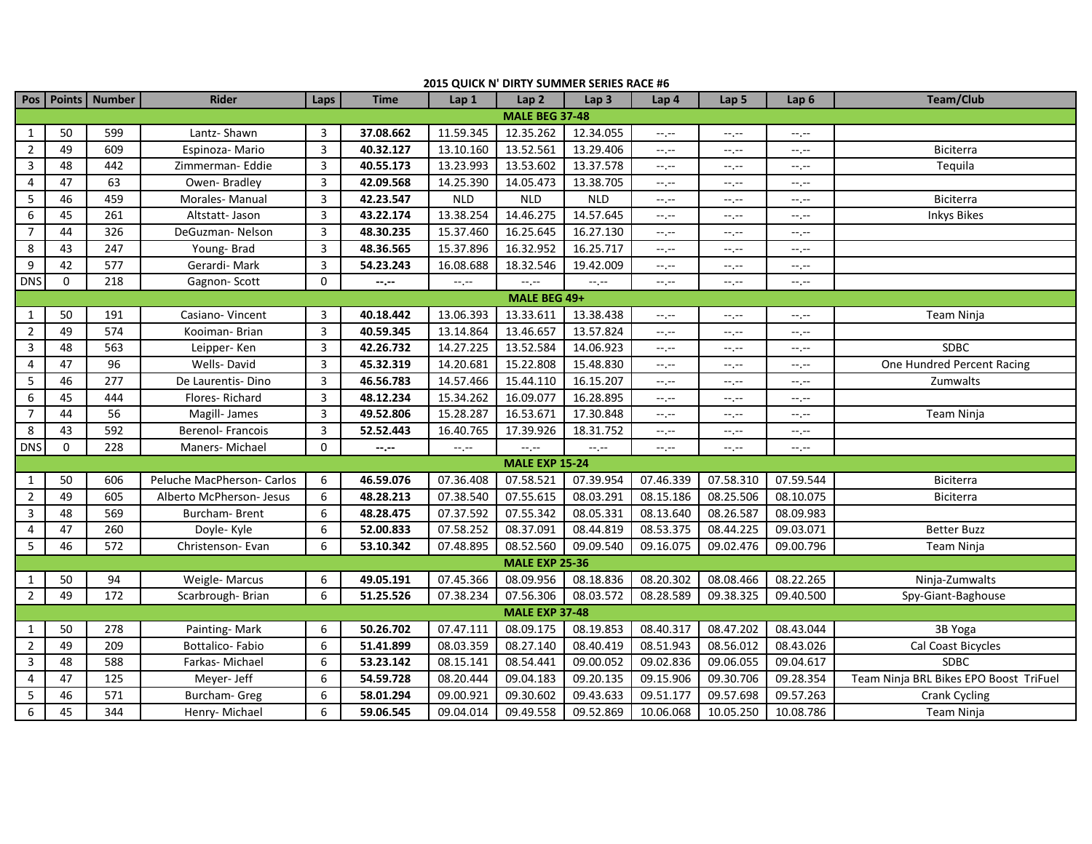|                       |          |                       |                            |                |                  | $\sim$           |                       |                  |                                                                                                                                                                                                                                                                                                                                                                                                                                                |                               |                  |                                        |
|-----------------------|----------|-----------------------|----------------------------|----------------|------------------|------------------|-----------------------|------------------|------------------------------------------------------------------------------------------------------------------------------------------------------------------------------------------------------------------------------------------------------------------------------------------------------------------------------------------------------------------------------------------------------------------------------------------------|-------------------------------|------------------|----------------------------------------|
|                       |          | Pos   Points   Number | <b>Rider</b>               | Laps           | <b>Time</b>      | Lap <sub>1</sub> | Lap2                  | Lap <sub>3</sub> | Lap <sub>4</sub>                                                                                                                                                                                                                                                                                                                                                                                                                               | Lap 5                         | Lap <sub>6</sub> | <b>Team/Club</b>                       |
| <b>MALE BEG 37-48</b> |          |                       |                            |                |                  |                  |                       |                  |                                                                                                                                                                                                                                                                                                                                                                                                                                                |                               |                  |                                        |
| 1                     | 50       | 599                   | Lantz- Shawn               | 3              | 37.08.662        | 11.59.345        | 12.35.262             | 12.34.055        | $-1, -1$                                                                                                                                                                                                                                                                                                                                                                                                                                       | $-1, -1$                      | $-1, -1$         |                                        |
| $\overline{2}$        | 49       | 609                   | Espinoza- Mario            | 3              | 40.32.127        | 13.10.160        | 13.52.561             | 13.29.406        | $-1, -1$                                                                                                                                                                                                                                                                                                                                                                                                                                       | $\rightarrow$ , $\rightarrow$ | $-1, -1$         | Biciterra                              |
| $\mathbf{3}$          | 48       | 442                   | Zimmerman-Eddie            | 3              | 40.55.173        | 13.23.993        | 13.53.602             | 13.37.578        | $\frac{1}{2} \left( \frac{1}{2} \right) + \frac{1}{2} \left( \frac{1}{2} \right) + \frac{1}{2} \left( \frac{1}{2} \right) + \frac{1}{2} \left( \frac{1}{2} \right) + \frac{1}{2} \left( \frac{1}{2} \right) + \frac{1}{2} \left( \frac{1}{2} \right) + \frac{1}{2} \left( \frac{1}{2} \right) + \frac{1}{2} \left( \frac{1}{2} \right) + \frac{1}{2} \left( \frac{1}{2} \right) + \frac{1}{2} \left( \frac{1}{2} \right) + \frac{1}{2} \left($ | $-1, -1$                      | $-1, -1$         | Tequila                                |
| 4                     | 47       | 63                    | Owen-Bradley               | 3              | 42.09.568        | 14.25.390        | 14.05.473             | 13.38.705        | $\frac{1}{2} \left( \frac{1}{2} \right) + \frac{1}{2} \left( \frac{1}{2} \right) + \frac{1}{2} \left( \frac{1}{2} \right) + \frac{1}{2} \left( \frac{1}{2} \right) + \frac{1}{2} \left( \frac{1}{2} \right) + \frac{1}{2} \left( \frac{1}{2} \right) + \frac{1}{2} \left( \frac{1}{2} \right) + \frac{1}{2} \left( \frac{1}{2} \right) + \frac{1}{2} \left( \frac{1}{2} \right) + \frac{1}{2} \left( \frac{1}{2} \right) + \frac{1}{2} \left($ | $-1, -1$                      | $-1, -1$         |                                        |
| $5\phantom{.0}$       | 46       | 459                   | Morales-Manual             | 3              | 42.23.547        | <b>NLD</b>       | <b>NLD</b>            | <b>NLD</b>       | $-1, -1$                                                                                                                                                                                                                                                                                                                                                                                                                                       | $-1, -1$                      | $-1, -1$         | Biciterra                              |
| 6                     | 45       | 261                   | Altstatt- Jason            | 3              | 43.22.174        | 13.38.254        | 14.46.275             | 14.57.645        | $-1, -1$                                                                                                                                                                                                                                                                                                                                                                                                                                       | $-1, -1$                      | $--, --$         | <b>Inkys Bikes</b>                     |
| $\overline{7}$        | 44       | 326                   | DeGuzman-Nelson            | 3              | 48.30.235        | 15.37.460        | 16.25.645             | 16.27.130        | $-\gamma$ , $-\gamma$                                                                                                                                                                                                                                                                                                                                                                                                                          | $-1, -1$                      | $-1, -1$         |                                        |
| 8                     | 43       | 247                   | Young-Brad                 | 3              | 48.36.565        | 15.37.896        | 16.32.952             | 16.25.717        | $\rightarrow$ , $\rightarrow$                                                                                                                                                                                                                                                                                                                                                                                                                  | $-1, -1$                      | $-1, -1$         |                                        |
| 9                     | 42       | $\overline{577}$      | Gerardi-Mark               | 3              | 54.23.243        | 16.08.688        | 18.32.546             | 19.42.009        | $-1, -1$                                                                                                                                                                                                                                                                                                                                                                                                                                       | --.--                         | --.--            |                                        |
| <b>DNS</b>            | 0        | 218                   | Gagnon-Scott               | $\mathbf{0}$   | $-1 - 1 - 1 = 0$ | $-1, -1$         | --.--                 | $-1, -1$         | $-1, -1$                                                                                                                                                                                                                                                                                                                                                                                                                                       | $-1, -1$                      | $--, --$         |                                        |
| MALE BEG 49+          |          |                       |                            |                |                  |                  |                       |                  |                                                                                                                                                                                                                                                                                                                                                                                                                                                |                               |                  |                                        |
| 1                     | 50       | 191                   | Casiano-Vincent            | 3              | 40.18.442        | 13.06.393        | 13.33.611             | 13.38.438        | $\frac{1}{2} \left( \frac{1}{2} \right) + \frac{1}{2} \left( \frac{1}{2} \right) + \frac{1}{2} \left( \frac{1}{2} \right) + \frac{1}{2} \left( \frac{1}{2} \right) + \frac{1}{2} \left( \frac{1}{2} \right) + \frac{1}{2} \left( \frac{1}{2} \right) + \frac{1}{2} \left( \frac{1}{2} \right) + \frac{1}{2} \left( \frac{1}{2} \right) + \frac{1}{2} \left( \frac{1}{2} \right) + \frac{1}{2} \left( \frac{1}{2} \right) + \frac{1}{2} \left($ | $-1, -1$                      | $-1, -1$         | Team Ninja                             |
| $\overline{2}$        | 49       | 574                   | Kooiman- Brian             | $\overline{3}$ | 40.59.345        | 13.14.864        | 13.46.657             | 13.57.824        | $-1, -1$                                                                                                                                                                                                                                                                                                                                                                                                                                       | $-1, -1$                      | $-1, -1$         |                                        |
| $\mathbf{3}$          | 48       | 563                   | Leipper-Ken                | 3              | 42.26.732        | 14.27.225        | 13.52.584             | 14.06.923        | $-\gamma$ , $-\gamma$                                                                                                                                                                                                                                                                                                                                                                                                                          | $-1, -1$                      | $-1, -1$         | <b>SDBC</b>                            |
| $\overline{4}$        | 47       | $\overline{96}$       | Wells-David                | $\overline{3}$ | 45.32.319        | 14.20.681        | 15.22.808             | 15.48.830        | $-1, -1$                                                                                                                                                                                                                                                                                                                                                                                                                                       | $-1, -1$                      | $-1, -1$         | One Hundred Percent Racing             |
| $5\phantom{.0}$       | 46       | 277                   | De Laurentis-Dino          | $\overline{3}$ | 46.56.783        | 14.57.466        | 15.44.110             | 16.15.207        | $-1, -1$                                                                                                                                                                                                                                                                                                                                                                                                                                       | --.--                         | --.--            | Zumwalts                               |
| 6                     | 45       | 444                   | Flores-Richard             | $\overline{3}$ | 48.12.234        | 15.34.262        | 16.09.077             | 16.28.895        | $-\gamma$ , $-\gamma$                                                                                                                                                                                                                                                                                                                                                                                                                          | $-1, -1$                      | $-1, -1$         |                                        |
| $\overline{7}$        | 44       | 56                    | Magill- James              | $\overline{3}$ | 49.52.806        | 15.28.287        | 16.53.671             | 17.30.848        | $-1, -1$                                                                                                                                                                                                                                                                                                                                                                                                                                       | $-1, -1$                      | $-1 - 1 - 1 = 0$ | Team Ninja                             |
| 8                     | 43       | 592                   | Berenol- Francois          | 3              | 52.52.443        | 16.40.765        | 17.39.926             | 18.31.752        | $-1, -1$                                                                                                                                                                                                                                                                                                                                                                                                                                       | $-1, -1$                      | $-1, -1$         |                                        |
| <b>DNS</b>            | $\Omega$ | 228                   | Maners-Michael             | $\Omega$       | --.--            | $-1, -1$         | $-1, -1$              | $-1, -1$         | $\frac{1}{2} \left( \frac{1}{2} \right) + \frac{1}{2} \left( \frac{1}{2} \right) + \frac{1}{2} \left( \frac{1}{2} \right) + \frac{1}{2} \left( \frac{1}{2} \right) + \frac{1}{2} \left( \frac{1}{2} \right) + \frac{1}{2} \left( \frac{1}{2} \right) + \frac{1}{2} \left( \frac{1}{2} \right) + \frac{1}{2} \left( \frac{1}{2} \right) + \frac{1}{2} \left( \frac{1}{2} \right) + \frac{1}{2} \left( \frac{1}{2} \right) + \frac{1}{2} \left($ | $-1, -1$                      | $-1, -1$         |                                        |
|                       |          |                       |                            |                |                  |                  | <b>MALE EXP 15-24</b> |                  |                                                                                                                                                                                                                                                                                                                                                                                                                                                |                               |                  |                                        |
| 1                     | 50       | 606                   | Peluche MacPherson- Carlos | 6              | 46.59.076        | 07.36.408        | 07.58.521             | 07.39.954        | 07.46.339                                                                                                                                                                                                                                                                                                                                                                                                                                      | 07.58.310                     | 07.59.544        | <b>Biciterra</b>                       |
| $\overline{2}$        | 49       | 605                   | Alberto McPherson- Jesus   | 6              | 48.28.213        | 07.38.540        | 07.55.615             | 08.03.291        | 08.15.186                                                                                                                                                                                                                                                                                                                                                                                                                                      | 08.25.506                     | 08.10.075        | Biciterra                              |
| $\mathbf{3}$          | 48       | 569                   | Burcham-Brent              | 6              | 48.28.475        | 07.37.592        | 07.55.342             | 08.05.331        | 08.13.640                                                                                                                                                                                                                                                                                                                                                                                                                                      | 08.26.587                     | 08.09.983        |                                        |
| 4                     | 47       | 260                   | Doyle- Kyle                | 6              | 52.00.833        | 07.58.252        | 08.37.091             | 08.44.819        | 08.53.375                                                                                                                                                                                                                                                                                                                                                                                                                                      | 08.44.225                     | 09.03.071        | <b>Better Buzz</b>                     |
| $5\phantom{.0}$       | 46       | 572                   | Christenson- Evan          | 6              | 53.10.342        | 07.48.895        | 08.52.560             | 09.09.540        | 09.16.075                                                                                                                                                                                                                                                                                                                                                                                                                                      | 09.02.476                     | 09.00.796        | Team Ninja                             |
|                       |          |                       |                            |                |                  |                  | <b>MALE EXP 25-36</b> |                  |                                                                                                                                                                                                                                                                                                                                                                                                                                                |                               |                  |                                        |
| 1                     | 50       | 94                    | Weigle-Marcus              | 6              | 49.05.191        | 07.45.366        | 08.09.956             | 08.18.836        | 08.20.302                                                                                                                                                                                                                                                                                                                                                                                                                                      | 08.08.466                     | 08.22.265        | Ninja-Zumwalts                         |
| $\overline{2}$        | 49       | 172                   | Scarbrough-Brian           | 6              | 51.25.526        | 07.38.234        | 07.56.306             | 08.03.572        | 08.28.589                                                                                                                                                                                                                                                                                                                                                                                                                                      | 09.38.325                     | 09.40.500        | Spy-Giant-Baghouse                     |
|                       |          |                       |                            |                |                  |                  | <b>MALE EXP 37-48</b> |                  |                                                                                                                                                                                                                                                                                                                                                                                                                                                |                               |                  |                                        |
| 1                     | 50       | 278                   | Painting-Mark              | 6              | 50.26.702        | 07.47.111        | 08.09.175             | 08.19.853        | 08.40.317                                                                                                                                                                                                                                                                                                                                                                                                                                      | 08.47.202                     | 08.43.044        | 3B Yoga                                |
| $\overline{2}$        | 49       | 209                   | Bottalico-Fabio            | 6              | 51.41.899        | 08.03.359        | 08.27.140             | 08.40.419        | 08.51.943                                                                                                                                                                                                                                                                                                                                                                                                                                      | 08.56.012                     | 08.43.026        | Cal Coast Bicycles                     |
| 3                     | 48       | 588                   | Farkas-Michael             | 6              | 53.23.142        | 08.15.141        | 08.54.441             | 09.00.052        | 09.02.836                                                                                                                                                                                                                                                                                                                                                                                                                                      | 09.06.055                     | 09.04.617        | <b>SDBC</b>                            |
| 4                     | 47       | 125                   | Meyer- Jeff                | 6              | 54.59.728        | 08.20.444        | 09.04.183             | 09.20.135        | 09.15.906                                                                                                                                                                                                                                                                                                                                                                                                                                      | 09.30.706                     | 09.28.354        | Team Ninja BRL Bikes EPO Boost TriFuel |
| 5                     | 46       | 571                   | Burcham- Greg              | 6              | 58.01.294        | 09.00.921        | 09.30.602             | 09.43.633        | 09.51.177                                                                                                                                                                                                                                                                                                                                                                                                                                      | 09.57.698                     | 09.57.263        | Crank Cycling                          |
| 6                     | 45       | 344                   | Henry- Michael             | 6              | 59.06.545        | 09.04.014        | 09.49.558             | 09.52.869        | 10.06.068                                                                                                                                                                                                                                                                                                                                                                                                                                      | 10.05.250                     | 10.08.786        | Team Ninja                             |

## **2015 QUICK N' DIRTY SUMMER SERIES RACE #6**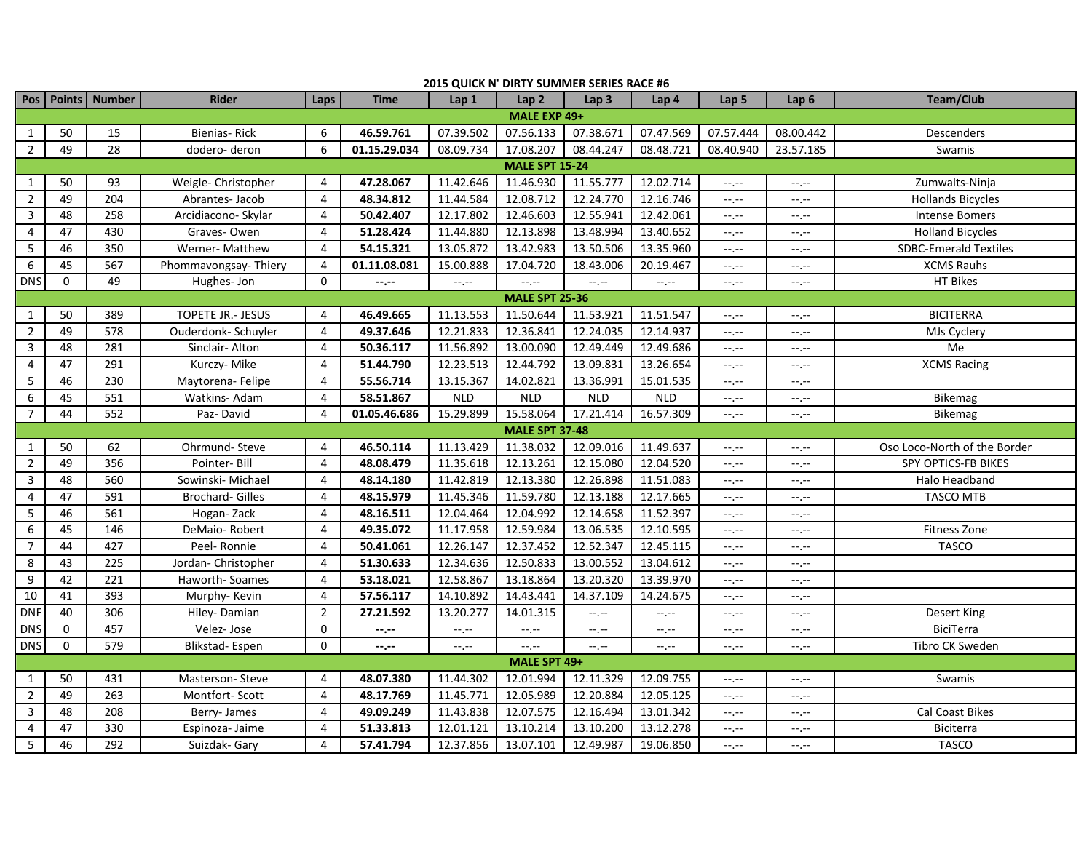| 2015 QUICK N' DIRTY SUMMER SERIES RACE #6 |                       |                       |                          |                |                  |                |                       |                  |                               |                               |                               |                              |
|-------------------------------------------|-----------------------|-----------------------|--------------------------|----------------|------------------|----------------|-----------------------|------------------|-------------------------------|-------------------------------|-------------------------------|------------------------------|
|                                           |                       | Pos   Points   Number | <b>Rider</b>             | Laps           | <b>Time</b>      | Lap 1          | Lap2                  | Lap <sub>3</sub> | Lap <sub>4</sub>              | Lap <sub>5</sub>              | Lap <sub>6</sub>              | Team/Club                    |
| MALE EXP 49+                              |                       |                       |                          |                |                  |                |                       |                  |                               |                               |                               |                              |
| $\mathbf{1}$                              | 50                    | 15                    | Bienias-Rick             | 6              | 46.59.761        | 07.39.502      | 07.56.133             | 07.38.671        | 07.47.569                     | 07.57.444                     | 08.00.442                     | Descenders                   |
| $\overline{2}$                            | 49                    | 28                    | dodero- deron            | 6              | 01.15.29.034     | 08.09.734      | 17.08.207             | 08.44.247        | 08.48.721                     | 08.40.940                     | 23.57.185                     | Swamis                       |
|                                           | <b>MALE SPT 15-24</b> |                       |                          |                |                  |                |                       |                  |                               |                               |                               |                              |
| $\mathbf{1}$                              | 50                    | 93                    | Weigle- Christopher      | 4              | 47.28.067        | 11.42.646      | 11.46.930             | 11.55.777        | 12.02.714                     | $-1, -1$                      | $--, --$                      | Zumwalts-Ninja               |
| $\overline{2}$                            | 49                    | 204                   | Abrantes- Jacob          | 4              | 48.34.812        | 11.44.584      | 12.08.712             | 12.24.770        | 12.16.746                     | $-\mathbb{L}$ , $-\mathbb{L}$ | $-1.1$                        | <b>Hollands Bicycles</b>     |
| 3                                         | 48                    | 258                   | Arcidiacono- Skylar      | $\overline{4}$ | 50.42.407        | 12.17.802      | 12.46.603             | 12.55.941        | 12.42.061                     | $-1, -1$                      | $--, --$                      | <b>Intense Bomers</b>        |
| 4                                         | 47                    | 430                   | Graves-Owen              | 4              | 51.28.424        | 11.44.880      | 12.13.898             | 13.48.994        | 13.40.652                     | $-1, -1$                      | $-1, -1$                      | <b>Holland Bicycles</b>      |
| 5                                         | 46                    | 350                   | Werner- Matthew          | $\overline{4}$ | 54.15.321        | 13.05.872      | 13.42.983             | 13.50.506        | 13.35.960                     | $-1, -1$                      | $-1, -1$                      | <b>SDBC-Emerald Textiles</b> |
| 6                                         | 45                    | 567                   | Phommavongsay-Thiery     | $\overline{4}$ | 01.11.08.081     | 15.00.888      | 17.04.720             | 18.43.006        | 20.19.467                     | $-1, -1$                      | $--, --$                      | <b>XCMS Rauhs</b>            |
| <b>DNS</b>                                | $\mathbf 0$           | 49                    | Hughes-Jon               | $\Omega$       | $-1$             | $--, --$       | --,--                 | $-1, -1$         | $-1, -1$                      | $-1, -1$                      | $--, --$                      | HT Bikes                     |
|                                           |                       |                       |                          |                |                  |                | <b>MALE SPT 25-36</b> |                  |                               |                               |                               |                              |
| $\mathbf{1}$                              | 50                    | 389                   | <b>TOPETE JR.- JESUS</b> | $\overline{4}$ | 46.49.665        | 11.13.553      | 11.50.644             | 11.53.921        | 11.51.547                     | $-1, -1$                      | $-1, -1$                      | <b>BICITERRA</b>             |
| $\overline{2}$                            | 49                    | 578                   | Ouderdonk-Schuyler       | $\overline{4}$ | 49.37.646        | 12.21.833      | 12.36.841             | 12.24.035        | 12.14.937                     | $-1, -1$                      | $-1, -1$                      | MJs Cyclery                  |
| 3                                         | 48                    | 281                   | Sinclair- Alton          | 4              | 50.36.117        | 11.56.892      | 13.00.090             | 12.49.449        | 12.49.686                     | $-1, -1$                      | $-1, -1$                      | Me                           |
| 4                                         | 47                    | 291                   | Kurczy- Mike             | 4              | 51.44.790        | 12.23.513      | 12.44.792             | 13.09.831        | 13.26.654                     | $-1, -1$                      | $-1.1$                        | <b>XCMS Racing</b>           |
| 5                                         | 46                    | 230                   | Maytorena- Felipe        | $\overline{4}$ | 55.56.714        | 13.15.367      | 14.02.821             | 13.36.991        | 15.01.535                     | $-1, -1$                      | $-1 - 1 - 1 = 0$              |                              |
| 6                                         | 45                    | 551                   | Watkins- Adam            | 4              | 58.51.867        | <b>NLD</b>     | <b>NLD</b>            | <b>NLD</b>       | <b>NLD</b>                    | $-1, -1$                      | $-1 - 1 - 1 = 0$              | Bikemag                      |
| $\overline{7}$                            | 44                    | 552                   | Paz-David                | 4              | 01.05.46.686     | 15.29.899      | 15.58.064             | 17.21.414        | 16.57.309                     | $-1, -1$                      | $-1, -1$                      | <b>Bikemag</b>               |
|                                           |                       |                       |                          |                |                  |                | <b>MALE SPT 37-48</b> |                  |                               |                               |                               |                              |
| $\mathbf{1}$                              | 50                    | 62                    | Ohrmund-Steve            | 4              | 46.50.114        | 11.13.429      | 11.38.032             | 12.09.016        | 11.49.637                     | $-1, -1$                      | $--, --$                      | Oso Loco-North of the Border |
| $\overline{2}$                            | 49                    | 356                   | Pointer-Bill             | 4              | 48.08.479        | 11.35.618      | 12.13.261             | 12.15.080        | 12.04.520                     | $--, --$                      | $--, --$                      | SPY OPTICS-FB BIKES          |
| 3                                         | 48                    | 560                   | Sowinski- Michael        | $\overline{4}$ | 48.14.180        | 11.42.819      | 12.13.380             | 12.26.898        | 11.51.083                     | $-1, -1$                      | $-1, -1$                      | Halo Headband                |
| 4                                         | 47                    | 591                   | <b>Brochard- Gilles</b>  | 4              | 48.15.979        | 11.45.346      | 11.59.780             | 12.13.188        | 12.17.665                     | $-1, -1$                      | $--, --$                      | <b>TASCO MTB</b>             |
| 5                                         | 46                    | 561                   | Hogan-Zack               | 4              | 48.16.511        | 12.04.464      | 12.04.992             | 12.14.658        | 11.52.397                     | $-1, -1$                      | $-1, -1$                      |                              |
| 6                                         | 45                    | 146                   | DeMaio-Robert            | 4              | 49.35.072        | 11.17.958      | 12.59.984             | 13.06.535        | 12.10.595                     | $-1, -1$                      | $-1$ .                        | Fitness Zone                 |
| $\overline{7}$                            | 44                    | 427                   | Peel-Ronnie              | 4              | 50.41.061        | 12.26.147      | 12.37.452             | 12.52.347        | 12.45.115                     | $-1, -1$                      | $-1, -1$                      | <b>TASCO</b>                 |
| 8                                         | 43                    | 225                   | Jordan- Christopher      | 4              | 51.30.633        | 12.34.636      | 12.50.833             | 13.00.552        | 13.04.612                     | $--, --$                      | $--, --$                      |                              |
| 9                                         | 42                    | 221                   | Haworth-Soames           | 4              | 53.18.021        | 12.58.867      | 13.18.864             | 13.20.320        | 13.39.970                     | $-1, -1$                      | $-1 - 1 - 1 = 0$              |                              |
| $10\,$                                    | 41                    | 393                   | Murphy-Kevin             | 4              | 57.56.117        | 14.10.892      | 14.43.441             | 14.37.109        | 14.24.675                     | $-1, -1$                      | $-1, -1$                      |                              |
| <b>DNF</b>                                | 40                    | 306                   | Hiley-Damian             | $\overline{2}$ | 27.21.592        | 13.20.277      | 14.01.315             | $-1, -1$         | $\rightarrow$ , $\rightarrow$ | $-1, -1$                      | $-1, -1$                      | <b>Desert King</b>           |
| DNS                                       | $\mathbf 0$           | 457                   | Velez-Jose               | $\mathbf 0$    | $-1 - 1 - 1 = 0$ | $-\mathcal{L}$ | --,--                 | $-1, -1$         | $\rightarrow$ , $\rightarrow$ | $-1, -1$                      | $--, --$                      | <b>BiciTerra</b>             |
| DNS                                       | $\Omega$              | 579                   | Blikstad-Espen           | $\Omega$       | $-1 - 1 - 1 = 0$ | $-1, -1$       | $-1, -1$              | $-1, -1$         | $\rightarrow$ , $\rightarrow$ | $-1, -1$                      | $-1, -1$                      | Tibro CK Sweden              |
|                                           |                       |                       |                          |                |                  |                | MALE SPT 49+          |                  |                               |                               |                               |                              |
| 1                                         | 50                    | 431                   | Masterson-Steve          | 4              | 48.07.380        | 11.44.302      | 12.01.994             | 12.11.329        | 12.09.755                     | $-1, -1$                      | $-1 - 1 - 1 = 0$              | Swamis                       |
| $\overline{2}$                            | 49                    | 263                   | Montfort-Scott           | 4              | 48.17.769        | 11.45.771      | 12.05.989             | 12.20.884        | 12.05.125                     | $-1, -1$                      | $-1, -1$                      |                              |
| $\mathbf{3}$                              | 48                    | 208                   | Berry-James              | $\overline{4}$ | 49.09.249        | 11.43.838      | 12.07.575             | 12.16.494        | 13.01.342                     | $-1, -1$                      | $-1, -1$                      | Cal Coast Bikes              |
| 4                                         | 47                    | 330                   | Espinoza- Jaime          | 4              | 51.33.813        | 12.01.121      | 13.10.214             | 13.10.200        | 13.12.278                     | $-1, -1$                      | $\rightarrow$ , $\rightarrow$ | Biciterra                    |
| 5                                         | 46                    | 292                   | Suizdak- Gary            | 4              | 57.41.794        | 12.37.856      | 13.07.101             | 12.49.987        | 19.06.850                     | $-1, -1$                      | $-1, -1$                      | <b>TASCO</b>                 |